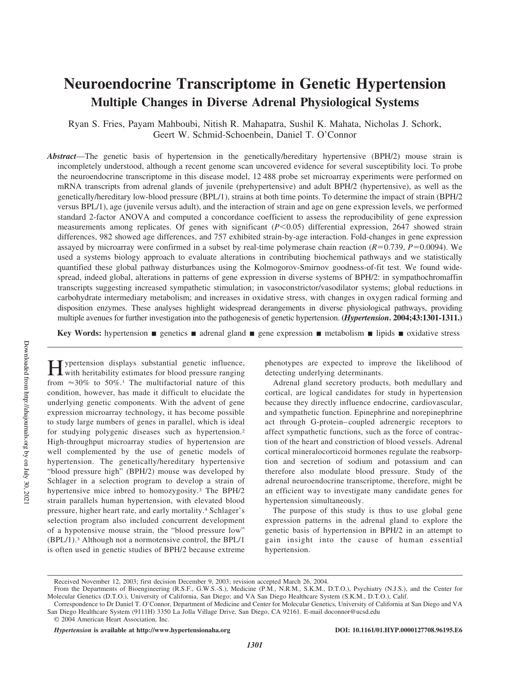# **Neuroendocrine Transcriptome in Genetic Hypertension Multiple Changes in Diverse Adrenal Physiological Systems**

Ryan S. Fries, Payam Mahboubi, Nitish R. Mahapatra, Sushil K. Mahata, Nicholas J. Schork, Geert W. Schmid-Schoenbein, Daniel T. O'Connor

*Abstract*—The genetic basis of hypertension in the genetically/hereditary hypertensive (BPH/2) mouse strain is incompletely understood, although a recent genome scan uncovered evidence for several susceptibility loci. To probe the neuroendocrine transcriptome in this disease model, 12 488 probe set microarray experiments were performed on mRNA transcripts from adrenal glands of juvenile (prehypertensive) and adult BPH/2 (hypertensive), as well as the genetically/hereditary low-blood pressure (BPL/1), strains at both time points. To determine the impact of strain (BPH/2 versus BPL/1), age (juvenile versus adult), and the interaction of strain and age on gene expression levels, we performed standard 2-factor ANOVA and computed a concordance coefficient to assess the reproducibility of gene expression measurements among replicates. Of genes with significant (*P*<0.05) differential expression, 2647 showed strain differences, 982 showed age differences, and 757 exhibited strain-by-age interaction. Fold-changes in gene expression assayed by microarray were confirmed in a subset by real-time polymerase chain reaction  $(R=0.739, P=0.0094)$ . We used a systems biology approach to evaluate alterations in contributing biochemical pathways and we statistically quantified these global pathway disturbances using the Kolmogorov-Smirnov goodness-of-fit test. We found widespread, indeed global, alterations in patterns of gene expression in diverse systems of BPH/2: in sympathochromaffin transcripts suggesting increased sympathetic stimulation; in vasoconstrictor/vasodilator systems; global reductions in carbohydrate intermediary metabolism; and increases in oxidative stress, with changes in oxygen radical forming and disposition enzymes. These analyses highlight widespread derangements in diverse physiological pathways, providing multiple avenues for further investigation into the pathogenesis of genetic hypertension. **(***Hypertension***. 2004;43:1301-1311.)**

**Key Words:** hypertension **genetics a** adrenal gland **gene expression <b>genetical** intervalsion **general** lipids **general** exidative stress

**H** ypertension displays substantial genetic influence,<br>with heritability estimates for blood pressure ranging with heritability estimates for blood pressure ranging from  $\approx 30\%$  to 50%.<sup>1</sup> The multifactorial nature of this condition, however, has made it difficult to elucidate the underlying genetic components. With the advent of gene expression microarray technology, it has become possible to study large numbers of genes in parallel, which is ideal for studying polygenic diseases such as hypertension.<sup>2</sup> High-throughput microarray studies of hypertension are well complemented by the use of genetic models of hypertension. The genetically/hereditary hypertensive "blood pressure high" (BPH/2) mouse was developed by Schlager in a selection program to develop a strain of hypertensive mice inbred to homozygosity.<sup>3</sup> The BPH/2 strain parallels human hypertension, with elevated blood pressure, higher heart rate, and early mortality.<sup>4</sup> Schlager's selection program also included concurrent development of a hypotensive mouse strain, the "blood pressure low" (BPL/1).<sup>3</sup> Although not a normotensive control, the BPL/1 is often used in genetic studies of BPH/2 because extreme

phenotypes are expected to improve the likelihood of detecting underlying determinants.

Adrenal gland secretory products, both medullary and cortical, are logical candidates for study in hypertension because they directly influence endocrine, cardiovascular, and sympathetic function. Epinephrine and norepinephrine act through G-protein–coupled adrenergic receptors to affect sympathetic functions, such as the force of contraction of the heart and constriction of blood vessels. Adrenal cortical mineralocorticoid hormones regulate the reabsorption and secretion of sodium and potassium and can therefore also modulate blood pressure. Study of the adrenal neuroendocrine transcriptome, therefore, might be an efficient way to investigate many candidate genes for hypertension simultaneously.

The purpose of this study is thus to use global gene expression patterns in the adrenal gland to explore the genetic basis of hypertension in BPH/2 in an attempt to gain insight into the cause of human essential hypertension.

Received November 12, 2003; first decision December 9, 2003; revision accepted March 26, 2004.

From the Departments of Bioengineering (R.S.F., G.W.S.-S.), Medicine (P.M., N.R.M., S.K.M., D.T.O.), Psychiatry (N.J.S.), and the Center for Molecular Genetics (D.T.O.), University of California, San Diego; and VA San Diego Healthcare System (S.K.M., D.T.O.), Calif.

Correspondence to Dr Daniel T. O'Connor, Department of Medicine and Center for Molecular Genetics, University of California at San Diego and VA San Diego Healthcare System (9111H) 3350 La Jolla Village Drive, San Diego, CA 92161. E-mail doconnor@ucsd.edu

<sup>© 2004</sup> American Heart Association, Inc.

*Hypertension* is available at http://www.hypertensionaha.org DOI: 10.1161/01.HYP.0000127708.96195.E6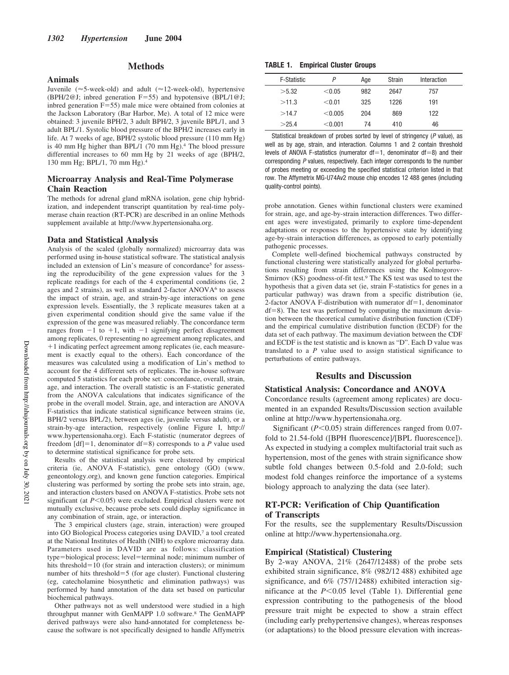#### **Animals**

# **Methods**

Juvenile ( $\approx$ 5-week-old) and adult ( $\approx$ 12-week-old), hypertensive (BPH/2@J; inbred generation  $F=55$ ) and hypotensive (BPL/1@J; inbred generation  $F = 55$ ) male mice were obtained from colonies at the Jackson Laboratory (Bar Harbor, Me). A total of 12 mice were obtained: 3 juvenile BPH/2, 3 adult BPH/2, 3 juvenile BPL/1, and 3 adult BPL/1. Systolic blood pressure of the BPH/2 increases early in life. At 7 weeks of age, BPH/2 systolic blood pressure (110 mm Hg) is 40 mm Hg higher than BPL/1 (70 mm Hg).<sup>4</sup> The blood pressure differential increases to 60 mm Hg by 21 weeks of age (BPH/2, 130 mm Hg; BPL/1, 70 mm Hg).<sup>4</sup>

# **Microarray Analysis and Real-Time Polymerase Chain Reaction**

The methods for adrenal gland mRNA isolation, gene chip hybridization, and independent transcript quantitation by real-time polymerase chain reaction (RT-PCR) are described in an online Methods supplement available at http://www.hypertensionaha.org.

#### **Data and Statistical Analysis**

Analysis of the scaled (globally normalized) microarray data was performed using in-house statistical software. The statistical analysis included an extension of Lin's measure of concordance<sup>5</sup> for assessing the reproducibility of the gene expression values for the 3 replicate readings for each of the 4 experimental conditions (ie, 2 ages and 2 strains), as well as standard 2-factor ANOVA<sup>6</sup> to assess the impact of strain, age, and strain-by-age interactions on gene expression levels. Essentially, the 3 replicate measures taken at a given experimental condition should give the same value if the expression of the gene was measured reliably. The concordance term ranges from  $-1$  to  $+1$ , with  $-1$  signifying perfect disagreement among replicates, 0 representing no agreement among replicates, and 1 indicating perfect agreement among replicates (ie, each measurement is exactly equal to the others). Each concordance of the measures was calculated using a modification of Lin's method to account for the 4 different sets of replicates. The in-house software computed 5 statistics for each probe set: concordance, overall, strain, age, and interaction. The overall statistic is an F-statistic generated from the ANOVA calculations that indicates significance of the probe in the overall model. Strain, age, and interaction are ANOVA F-statistics that indicate statistical significance between strains (ie, BPH/2 versus BPL/2), between ages (ie, juvenile versus adult), or a strain-by-age interaction, respectively (online Figure I, http:// www.hypertensionaha.org). Each F-statistic (numerator degrees of freedom  $[df] = 1$ , denominator  $df = 8$ ) corresponds to a *P* value used to determine statistical significance for probe sets.

Results of the statistical analysis were clustered by empirical criteria (ie, ANOVA F-statistic), gene ontology (GO) (www. geneontology.org), and known gene function categories. Empirical clustering was performed by sorting the probe sets into strain, age, and interaction clusters based on ANOVA F-statistics. Probe sets not significant (at  $P<0.05$ ) were excluded. Empirical clusters were not mutually exclusive, because probe sets could display significance in any combination of strain, age, or interaction.

The 3 empirical clusters (age, strain, interaction) were grouped into GO Biological Process categories using DAVID,<sup>7</sup> a tool created at the National Institutes of Health (NIH) to explore microarray data. Parameters used in DAVID are as follows: classification type=biological process; level=terminal node; minimum number of hits threshold= $10$  (for strain and interaction clusters); or minimum number of hits threshold-5 (for age cluster). Functional clustering (eg, catecholamine biosynthetic and elimination pathways) was performed by hand annotation of the data set based on particular biochemical pathways.

Other pathways not as well understood were studied in a high throughput manner with GenMAPP 1.0 software.<sup>8</sup> The GenMAPP derived pathways were also hand-annotated for completeness because the software is not specifically designed to handle Affymetrix

#### **TABLE 1. Empirical Cluster Groups**

| <b>F-Statistic</b> | P         | Age | Strain | Interaction |  |
|--------------------|-----------|-----|--------|-------------|--|
| >5.32              | < 0.05    | 982 | 2647   | 757         |  |
| >11.3              | < 0.01    | 325 | 1226   | 191         |  |
| >14.7              | < 0.005   | 204 | 869    | 122         |  |
| >25.4              | $<$ 0.001 | 74  | 410    | 46          |  |

Statistical breakdown of probes sorted by level of stringency (P value), as well as by age, strain, and interaction. Columns 1 and 2 contain threshold levels of ANOVA F-statistics (numerator  $df = 1$ , denominator  $df = 8$ ) and their corresponding P values, respectively. Each integer corresponds to the number of probes meeting or exceeding the specified statistical criterion listed in that row. The Affymetrix MG-U74Av2 mouse chip encodes 12 488 genes (including quality-control points).

probe annotation. Genes within functional clusters were examined for strain, age, and age-by-strain interaction differences. Two different ages were investigated, primarily to explore time-dependent adaptations or responses to the hypertensive state by identifying age-by-strain interaction differences, as opposed to early potentially pathogenic processes.

Complete well-defined biochemical pathways constructed by functional clustering were statistically analyzed for global perturbations resulting from strain differences using the Kolmogorov-Smirnov (KS) goodness-of-fit test.<sup>9</sup> The KS test was used to test the hypothesis that a given data set (ie, strain F-statistics for genes in a particular pathway) was drawn from a specific distribution (ie, 2-factor ANOVA F-distribution with numerator  $df = 1$ , denominator df-8). The test was performed by computing the maximum deviation between the theoretical cumulative distribution function (CDF) and the empirical cumulative distribution function (ECDF) for the data set of each pathway. The maximum deviation between the CDF and ECDF is the test statistic and is known as "D". Each D value was translated to a *P* value used to assign statistical significance to perturbations of entire pathways.

# **Results and Discussion**

#### **Statistical Analysis: Concordance and ANOVA**

Concordance results (agreement among replicates) are documented in an expanded Results/Discussion section available online at http://www.hypertensionaha.org.

Significant ( $P$ <0.05) strain differences ranged from 0.07fold to 21.54-fold ([BPH fluorescence]/[BPL fluorescence]). As expected in studying a complex multifactorial trait such as hypertension, most of the genes with strain significance show subtle fold changes between 0.5-fold and 2.0-fold; such modest fold changes reinforce the importance of a systems biology approach to analyzing the data (see later).

## **RT-PCR: Verification of Chip Quantification of Transcripts**

For the results, see the supplementary Results/Discussion online at http://www.hypertensionaha.org.

#### **Empirical (Statistical) Clustering**

By 2-way ANOVA, 21% (2647/12488) of the probe sets exhibited strain significance, 8% (982/12 488) exhibited age significance, and 6% (757/12488) exhibited interaction significance at the  $P<0.05$  level (Table 1). Differential gene expression contributing to the pathogenesis of the blood pressure trait might be expected to show a strain effect (including early prehypertensive changes), whereas responses (or adaptations) to the blood pressure elevation with increas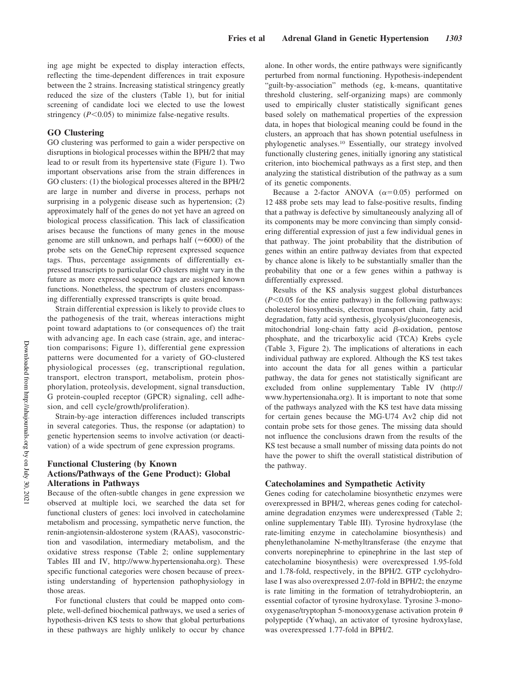ing age might be expected to display interaction effects, reflecting the time-dependent differences in trait exposure between the 2 strains. Increasing statistical stringency greatly reduced the size of the clusters (Table 1), but for initial screening of candidate loci we elected to use the lowest stringency  $(P<0.05)$  to minimize false-negative results.

#### **GO Clustering**

GO clustering was performed to gain a wider perspective on disruptions in biological processes within the BPH/2 that may lead to or result from its hypertensive state (Figure 1). Two important observations arise from the strain differences in GO clusters: (1) the biological processes altered in the BPH/2 are large in number and diverse in process, perhaps not surprising in a polygenic disease such as hypertension; (2) approximately half of the genes do not yet have an agreed on biological process classification. This lack of classification arises because the functions of many genes in the mouse genome are still unknown, and perhaps half ( $\approx$ 6000) of the probe sets on the GeneChip represent expressed sequence tags. Thus, percentage assignments of differentially expressed transcripts to particular GO clusters might vary in the future as more expressed sequence tags are assigned known functions. Nonetheless, the spectrum of clusters encompassing differentially expressed transcripts is quite broad.

Strain differential expression is likely to provide clues to the pathogenesis of the trait, whereas interactions might point toward adaptations to (or consequences of) the trait with advancing age. In each case (strain, age, and interaction comparisons; Figure 1), differential gene expression patterns were documented for a variety of GO-clustered physiological processes (eg, transcriptional regulation, transport, electron transport, metabolism, protein phosphorylation, proteolysis, development, signal transduction, G protein-coupled receptor (GPCR) signaling, cell adhesion, and cell cycle/growth/proliferation).

Strain-by-age interaction differences included transcripts in several categories. Thus, the response (or adaptation) to genetic hypertension seems to involve activation (or deactivation) of a wide spectrum of gene expression programs.

# **Functional Clustering (by Known Actions/Pathways of the Gene Product): Global Alterations in Pathways**

Because of the often-subtle changes in gene expression we observed at multiple loci, we searched the data set for functional clusters of genes: loci involved in catecholamine metabolism and processing, sympathetic nerve function, the renin-angiotensin-aldosterone system (RAAS), vasoconstriction and vasodilation, intermediary metabolism, and the oxidative stress response (Table 2; online supplementary Tables III and IV, http://www.hypertensionaha.org). These specific functional categories were chosen because of preexisting understanding of hypertension pathophysiology in those areas.

For functional clusters that could be mapped onto complete, well-defined biochemical pathways, we used a series of hypothesis-driven KS tests to show that global perturbations in these pathways are highly unlikely to occur by chance alone. In other words, the entire pathways were significantly perturbed from normal functioning. Hypothesis-independent "guilt-by-association" methods (eg, k-means, quantitative threshold clustering, self-organizing maps) are commonly used to empirically cluster statistically significant genes based solely on mathematical properties of the expression data, in hopes that biological meaning could be found in the clusters, an approach that has shown potential usefulness in phylogenetic analyses.<sup>10</sup> Essentially, our strategy involved functionally clustering genes, initially ignoring any statistical criterion, into biochemical pathways as a first step, and then analyzing the statistical distribution of the pathway as a sum of its genetic components.

Because a 2-factor ANOVA  $(\alpha=0.05)$  performed on 12 488 probe sets may lead to false-positive results, finding that a pathway is defective by simultaneously analyzing all of its components may be more convincing than simply considering differential expression of just a few individual genes in that pathway. The joint probability that the distribution of genes within an entire pathway deviates from that expected by chance alone is likely to be substantially smaller than the probability that one or a few genes within a pathway is differentially expressed.

Results of the KS analysis suggest global disturbances  $(P<0.05$  for the entire pathway) in the following pathways: cholesterol biosynthesis, electron transport chain, fatty acid degradation, fatty acid synthesis, glycolysis/gluconeogenesis, mitochondrial long-chain fatty acid  $\beta$ -oxidation, pentose phosphate, and the tricarboxylic acid (TCA) Krebs cycle (Table 3, Figure 2). The implications of alterations in each individual pathway are explored. Although the KS test takes into account the data for all genes within a particular pathway, the data for genes not statistically significant are excluded from online supplementary Table IV (http:// www.hypertensionaha.org). It is important to note that some of the pathways analyzed with the KS test have data missing for certain genes because the MG-U74 Av2 chip did not contain probe sets for those genes. The missing data should not influence the conclusions drawn from the results of the KS test because a small number of missing data points do not have the power to shift the overall statistical distribution of the pathway.

#### **Catecholamines and Sympathetic Activity**

Genes coding for catecholamine biosynthetic enzymes were overexpressed in BPH/2, whereas genes coding for catecholamine degradation enzymes were underexpressed (Table 2; online supplementary Table III). Tyrosine hydroxylase (the rate-limiting enzyme in catecholamine biosynthesis) and phenylethanolamine N-methyltransferase (the enzyme that converts norepinephrine to epinephrine in the last step of catecholamine biosynthesis) were overexpressed 1.95-fold and 1.78-fold, respectively, in the BPH/2. GTP cyclohydrolase I was also overexpressed 2.07-fold in BPH/2; the enzyme is rate limiting in the formation of tetrahydrobiopterin, an essential cofactor of tyrosine hydroxylase. Tyrosine 3-monooxygenase/tryptophan 5-monooxygenase activation protein  $\theta$ polypeptide (Ywhaq), an activator of tyrosine hydroxylase, was overexpressed 1.77-fold in BPH/2.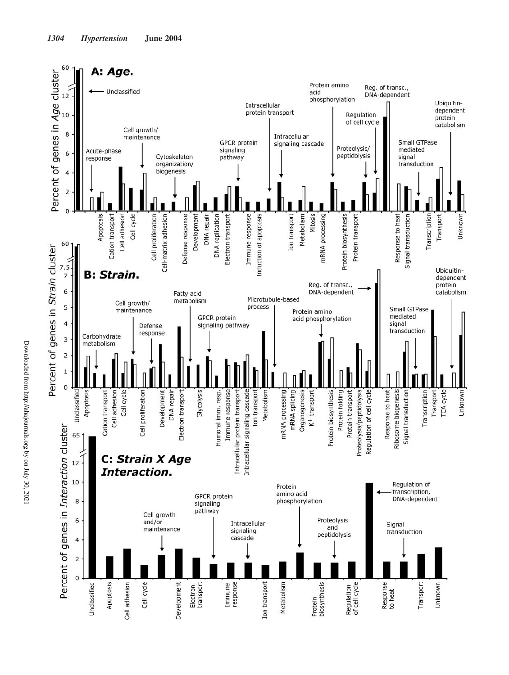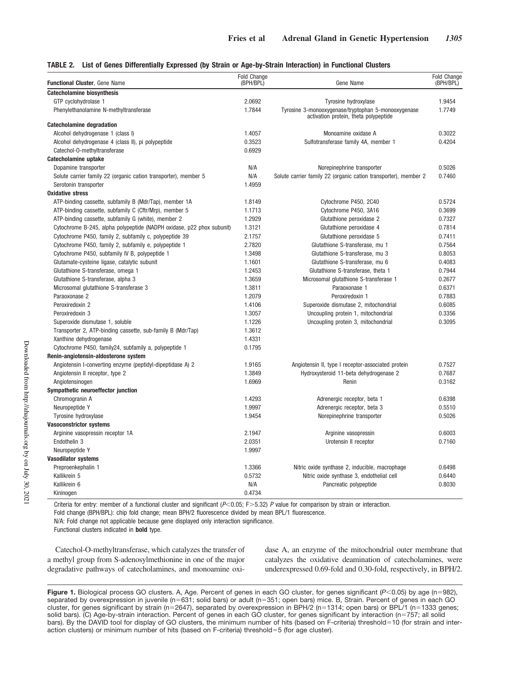#### **TABLE 2. List of Genes Differentially Expressed (by Strain or Age-by-Strain Interaction) in Functional Clusters**

| <b>Catecholamine biosynthesis</b><br>2.0692<br>1.9454<br>GTP cyclohydrolase 1<br>Tyrosine hydroxylase<br>1.7844<br>Tyrosine 3-monooxygenase/tryptophan 5-monooxygenase<br>1.7749<br>Phenylethanolamine N-methyltransferase<br>activation protein, theta polypeptide<br>Catecholamine degradation<br>1.4057<br>0.3022<br>Alcohol dehydrogenase 1 (class I)<br>Monoamine oxidase A<br>0.3523<br>Sulfotransferase family 4A, member 1<br>0.4204<br>Alcohol dehydrogenase 4 (class II), pi polypeptide<br>0.6929<br>Catechol-O-methyltransferase<br>Catecholamine uptake<br>N/A<br>Norepinephrine transporter<br>0.5026<br>Dopamine transporter<br>N/A<br>Solute carrier family 22 (organic cation transporter), member 5<br>Solute carrier family 22 (organic cation transporter), member 2<br>0.7460<br>1.4959<br>Serotonin transporter<br><b>Oxidative stress</b><br>ATP-binding cassette, subfamily B (Mdr/Tap), member 1A<br>1.8149<br>Cytochrome P450, 2C40<br>0.5724<br>ATP-binding cassette, subfamily C (Cftr/Mrp), member 5<br>Cytochrome P450, 3A16<br>0.3699<br>1.1713<br>ATP-binding cassette, subfamily G (white), member 2<br>1.2929<br>Glutathione peroxidase 2<br>0.7327<br>1.3121<br>Glutathione peroxidase 4<br>0.7814<br>Cytochrome B-245, alpha polypeptide (NADPH oxidase, p22 phox subunit)<br>2.1757<br>Glutathione peroxidase 5<br>0.7411<br>Cytochrome P450, family 2, subfamily c, polypeptide 39<br>Cytochrome P450, family 2, subfamily e, polypeptide 1<br>2.7820<br>Glutathione S-transferase, mu 1<br>0.7564<br>0.8053<br>Cytochrome P450, subfamily IV B, polypeptide 1<br>1.3498<br>Glutathione S-transferase, mu 3<br>0.4083<br>Glutamate-cysteine ligase, catalytic subunit<br>1.1601<br>Glutathione S-transferase, mu 6<br>Glutathione S-transferase, theta 1<br>0.7944<br>Glutathione S-transferase, omega 1<br>1.2453<br>0.2677<br>Glutathione S-transferase, alpha 3<br>1.3659<br>Microsomal glutathione S-transferase 1<br>1.3811<br>0.6371<br>Microsomal glutathione S-transferase 3<br>Paraoxonase 1<br>1.2079<br>Peroxiredoxin 1<br>0.7883<br>Paraoxonase 2<br>Peroxiredoxin 2<br>1.4106<br>Superoxide dismutase 2, mitochondrial<br>0.6085<br>0.3356<br>Peroxiredoxin 3<br>1.3057<br>Uncoupling protein 1, mitochondrial<br>0.3095<br>1.1226<br>Uncoupling protein 3, mitochondrial<br>Superoxide dismutase 1, soluble<br>Transporter 2, ATP-binding cassette, sub-family B (Mdr/Tap)<br>1.3612<br>1.4331<br>Xanthine dehydrogenase<br>0.1795<br>Cytochrome P450, family24, subfamily a, polypeptide 1<br>Renin-angiotensin-aldosterone system<br>0.7527<br>Angiotensin I-converting enzyme (peptidyl-dipeptidase A) 2<br>1.9165<br>Angiotensin II, type I receptor-associated protein<br>1.3849<br>0.7687<br>Angiotensin II receptor, type 2<br>Hydroxysteroid 11-beta dehydrogenase 2<br>1.6969<br>0.3162<br>Angiotensinogen<br>Renin<br>Sympathetic neuroeffector junction<br>Chromogranin A<br>1.4293<br>Adrenergic receptor, beta 1<br>0.6398<br>1.9997<br>Neuropeptide Y<br>Adrenergic receptor, beta 3<br>0.5510<br>1.9454<br>Norepinephrine transporter<br>0.5026<br>Tyrosine hydroxylase<br><b>Vasoconstrictor systems</b><br>Arginine vasopressin receptor 1A<br>2.1947<br>Arginine vasopressin<br>0.6003<br>2.0351<br>0.7160<br>Endothelin 3<br>Urotensin II receptor<br>1.9997<br>Neuropeptide Y<br><b>Vasodilator systems</b><br>1.3366<br>0.6498<br>Preproenkephalin 1<br>Nitric oxide synthase 2, inducible, macrophage<br>0.5732<br>Nitric oxide synthase 3, endothelial cell<br>0.6440<br>Kallikrein 5<br>0.8030<br>Kallikrein 6<br>N/A<br>Pancreatic polypeptide<br>0.4734<br>Kininogen | <b>Functional Cluster, Gene Name</b> | Fold Change<br>(BPH/BPL) | Gene Name | Fold Change<br>(BPH/BPL) |
|----------------------------------------------------------------------------------------------------------------------------------------------------------------------------------------------------------------------------------------------------------------------------------------------------------------------------------------------------------------------------------------------------------------------------------------------------------------------------------------------------------------------------------------------------------------------------------------------------------------------------------------------------------------------------------------------------------------------------------------------------------------------------------------------------------------------------------------------------------------------------------------------------------------------------------------------------------------------------------------------------------------------------------------------------------------------------------------------------------------------------------------------------------------------------------------------------------------------------------------------------------------------------------------------------------------------------------------------------------------------------------------------------------------------------------------------------------------------------------------------------------------------------------------------------------------------------------------------------------------------------------------------------------------------------------------------------------------------------------------------------------------------------------------------------------------------------------------------------------------------------------------------------------------------------------------------------------------------------------------------------------------------------------------------------------------------------------------------------------------------------------------------------------------------------------------------------------------------------------------------------------------------------------------------------------------------------------------------------------------------------------------------------------------------------------------------------------------------------------------------------------------------------------------------------------------------------------------------------------------------------------------------------------------------------------------------------------------------------------------------------------------------------------------------------------------------------------------------------------------------------------------------------------------------------------------------------------------------------------------------------------------------------------------------------------------------------------------------------------------------------------------------------------------------------------------------------------------------------------------------------------------------------------------------------------------------------------------------------------------------------------------------------------------------------------------------------------------------------------------------------------------------------------------------------------------------------------------------------------------------------------------------------|--------------------------------------|--------------------------|-----------|--------------------------|
|                                                                                                                                                                                                                                                                                                                                                                                                                                                                                                                                                                                                                                                                                                                                                                                                                                                                                                                                                                                                                                                                                                                                                                                                                                                                                                                                                                                                                                                                                                                                                                                                                                                                                                                                                                                                                                                                                                                                                                                                                                                                                                                                                                                                                                                                                                                                                                                                                                                                                                                                                                                                                                                                                                                                                                                                                                                                                                                                                                                                                                                                                                                                                                                                                                                                                                                                                                                                                                                                                                                                                                                                                                                    |                                      |                          |           |                          |
|                                                                                                                                                                                                                                                                                                                                                                                                                                                                                                                                                                                                                                                                                                                                                                                                                                                                                                                                                                                                                                                                                                                                                                                                                                                                                                                                                                                                                                                                                                                                                                                                                                                                                                                                                                                                                                                                                                                                                                                                                                                                                                                                                                                                                                                                                                                                                                                                                                                                                                                                                                                                                                                                                                                                                                                                                                                                                                                                                                                                                                                                                                                                                                                                                                                                                                                                                                                                                                                                                                                                                                                                                                                    |                                      |                          |           |                          |
|                                                                                                                                                                                                                                                                                                                                                                                                                                                                                                                                                                                                                                                                                                                                                                                                                                                                                                                                                                                                                                                                                                                                                                                                                                                                                                                                                                                                                                                                                                                                                                                                                                                                                                                                                                                                                                                                                                                                                                                                                                                                                                                                                                                                                                                                                                                                                                                                                                                                                                                                                                                                                                                                                                                                                                                                                                                                                                                                                                                                                                                                                                                                                                                                                                                                                                                                                                                                                                                                                                                                                                                                                                                    |                                      |                          |           |                          |
|                                                                                                                                                                                                                                                                                                                                                                                                                                                                                                                                                                                                                                                                                                                                                                                                                                                                                                                                                                                                                                                                                                                                                                                                                                                                                                                                                                                                                                                                                                                                                                                                                                                                                                                                                                                                                                                                                                                                                                                                                                                                                                                                                                                                                                                                                                                                                                                                                                                                                                                                                                                                                                                                                                                                                                                                                                                                                                                                                                                                                                                                                                                                                                                                                                                                                                                                                                                                                                                                                                                                                                                                                                                    |                                      |                          |           |                          |
|                                                                                                                                                                                                                                                                                                                                                                                                                                                                                                                                                                                                                                                                                                                                                                                                                                                                                                                                                                                                                                                                                                                                                                                                                                                                                                                                                                                                                                                                                                                                                                                                                                                                                                                                                                                                                                                                                                                                                                                                                                                                                                                                                                                                                                                                                                                                                                                                                                                                                                                                                                                                                                                                                                                                                                                                                                                                                                                                                                                                                                                                                                                                                                                                                                                                                                                                                                                                                                                                                                                                                                                                                                                    |                                      |                          |           |                          |
|                                                                                                                                                                                                                                                                                                                                                                                                                                                                                                                                                                                                                                                                                                                                                                                                                                                                                                                                                                                                                                                                                                                                                                                                                                                                                                                                                                                                                                                                                                                                                                                                                                                                                                                                                                                                                                                                                                                                                                                                                                                                                                                                                                                                                                                                                                                                                                                                                                                                                                                                                                                                                                                                                                                                                                                                                                                                                                                                                                                                                                                                                                                                                                                                                                                                                                                                                                                                                                                                                                                                                                                                                                                    |                                      |                          |           |                          |
|                                                                                                                                                                                                                                                                                                                                                                                                                                                                                                                                                                                                                                                                                                                                                                                                                                                                                                                                                                                                                                                                                                                                                                                                                                                                                                                                                                                                                                                                                                                                                                                                                                                                                                                                                                                                                                                                                                                                                                                                                                                                                                                                                                                                                                                                                                                                                                                                                                                                                                                                                                                                                                                                                                                                                                                                                                                                                                                                                                                                                                                                                                                                                                                                                                                                                                                                                                                                                                                                                                                                                                                                                                                    |                                      |                          |           |                          |
|                                                                                                                                                                                                                                                                                                                                                                                                                                                                                                                                                                                                                                                                                                                                                                                                                                                                                                                                                                                                                                                                                                                                                                                                                                                                                                                                                                                                                                                                                                                                                                                                                                                                                                                                                                                                                                                                                                                                                                                                                                                                                                                                                                                                                                                                                                                                                                                                                                                                                                                                                                                                                                                                                                                                                                                                                                                                                                                                                                                                                                                                                                                                                                                                                                                                                                                                                                                                                                                                                                                                                                                                                                                    |                                      |                          |           |                          |
|                                                                                                                                                                                                                                                                                                                                                                                                                                                                                                                                                                                                                                                                                                                                                                                                                                                                                                                                                                                                                                                                                                                                                                                                                                                                                                                                                                                                                                                                                                                                                                                                                                                                                                                                                                                                                                                                                                                                                                                                                                                                                                                                                                                                                                                                                                                                                                                                                                                                                                                                                                                                                                                                                                                                                                                                                                                                                                                                                                                                                                                                                                                                                                                                                                                                                                                                                                                                                                                                                                                                                                                                                                                    |                                      |                          |           |                          |
|                                                                                                                                                                                                                                                                                                                                                                                                                                                                                                                                                                                                                                                                                                                                                                                                                                                                                                                                                                                                                                                                                                                                                                                                                                                                                                                                                                                                                                                                                                                                                                                                                                                                                                                                                                                                                                                                                                                                                                                                                                                                                                                                                                                                                                                                                                                                                                                                                                                                                                                                                                                                                                                                                                                                                                                                                                                                                                                                                                                                                                                                                                                                                                                                                                                                                                                                                                                                                                                                                                                                                                                                                                                    |                                      |                          |           |                          |
|                                                                                                                                                                                                                                                                                                                                                                                                                                                                                                                                                                                                                                                                                                                                                                                                                                                                                                                                                                                                                                                                                                                                                                                                                                                                                                                                                                                                                                                                                                                                                                                                                                                                                                                                                                                                                                                                                                                                                                                                                                                                                                                                                                                                                                                                                                                                                                                                                                                                                                                                                                                                                                                                                                                                                                                                                                                                                                                                                                                                                                                                                                                                                                                                                                                                                                                                                                                                                                                                                                                                                                                                                                                    |                                      |                          |           |                          |
|                                                                                                                                                                                                                                                                                                                                                                                                                                                                                                                                                                                                                                                                                                                                                                                                                                                                                                                                                                                                                                                                                                                                                                                                                                                                                                                                                                                                                                                                                                                                                                                                                                                                                                                                                                                                                                                                                                                                                                                                                                                                                                                                                                                                                                                                                                                                                                                                                                                                                                                                                                                                                                                                                                                                                                                                                                                                                                                                                                                                                                                                                                                                                                                                                                                                                                                                                                                                                                                                                                                                                                                                                                                    |                                      |                          |           |                          |
|                                                                                                                                                                                                                                                                                                                                                                                                                                                                                                                                                                                                                                                                                                                                                                                                                                                                                                                                                                                                                                                                                                                                                                                                                                                                                                                                                                                                                                                                                                                                                                                                                                                                                                                                                                                                                                                                                                                                                                                                                                                                                                                                                                                                                                                                                                                                                                                                                                                                                                                                                                                                                                                                                                                                                                                                                                                                                                                                                                                                                                                                                                                                                                                                                                                                                                                                                                                                                                                                                                                                                                                                                                                    |                                      |                          |           |                          |
|                                                                                                                                                                                                                                                                                                                                                                                                                                                                                                                                                                                                                                                                                                                                                                                                                                                                                                                                                                                                                                                                                                                                                                                                                                                                                                                                                                                                                                                                                                                                                                                                                                                                                                                                                                                                                                                                                                                                                                                                                                                                                                                                                                                                                                                                                                                                                                                                                                                                                                                                                                                                                                                                                                                                                                                                                                                                                                                                                                                                                                                                                                                                                                                                                                                                                                                                                                                                                                                                                                                                                                                                                                                    |                                      |                          |           |                          |
|                                                                                                                                                                                                                                                                                                                                                                                                                                                                                                                                                                                                                                                                                                                                                                                                                                                                                                                                                                                                                                                                                                                                                                                                                                                                                                                                                                                                                                                                                                                                                                                                                                                                                                                                                                                                                                                                                                                                                                                                                                                                                                                                                                                                                                                                                                                                                                                                                                                                                                                                                                                                                                                                                                                                                                                                                                                                                                                                                                                                                                                                                                                                                                                                                                                                                                                                                                                                                                                                                                                                                                                                                                                    |                                      |                          |           |                          |
|                                                                                                                                                                                                                                                                                                                                                                                                                                                                                                                                                                                                                                                                                                                                                                                                                                                                                                                                                                                                                                                                                                                                                                                                                                                                                                                                                                                                                                                                                                                                                                                                                                                                                                                                                                                                                                                                                                                                                                                                                                                                                                                                                                                                                                                                                                                                                                                                                                                                                                                                                                                                                                                                                                                                                                                                                                                                                                                                                                                                                                                                                                                                                                                                                                                                                                                                                                                                                                                                                                                                                                                                                                                    |                                      |                          |           |                          |
|                                                                                                                                                                                                                                                                                                                                                                                                                                                                                                                                                                                                                                                                                                                                                                                                                                                                                                                                                                                                                                                                                                                                                                                                                                                                                                                                                                                                                                                                                                                                                                                                                                                                                                                                                                                                                                                                                                                                                                                                                                                                                                                                                                                                                                                                                                                                                                                                                                                                                                                                                                                                                                                                                                                                                                                                                                                                                                                                                                                                                                                                                                                                                                                                                                                                                                                                                                                                                                                                                                                                                                                                                                                    |                                      |                          |           |                          |
|                                                                                                                                                                                                                                                                                                                                                                                                                                                                                                                                                                                                                                                                                                                                                                                                                                                                                                                                                                                                                                                                                                                                                                                                                                                                                                                                                                                                                                                                                                                                                                                                                                                                                                                                                                                                                                                                                                                                                                                                                                                                                                                                                                                                                                                                                                                                                                                                                                                                                                                                                                                                                                                                                                                                                                                                                                                                                                                                                                                                                                                                                                                                                                                                                                                                                                                                                                                                                                                                                                                                                                                                                                                    |                                      |                          |           |                          |
|                                                                                                                                                                                                                                                                                                                                                                                                                                                                                                                                                                                                                                                                                                                                                                                                                                                                                                                                                                                                                                                                                                                                                                                                                                                                                                                                                                                                                                                                                                                                                                                                                                                                                                                                                                                                                                                                                                                                                                                                                                                                                                                                                                                                                                                                                                                                                                                                                                                                                                                                                                                                                                                                                                                                                                                                                                                                                                                                                                                                                                                                                                                                                                                                                                                                                                                                                                                                                                                                                                                                                                                                                                                    |                                      |                          |           |                          |
|                                                                                                                                                                                                                                                                                                                                                                                                                                                                                                                                                                                                                                                                                                                                                                                                                                                                                                                                                                                                                                                                                                                                                                                                                                                                                                                                                                                                                                                                                                                                                                                                                                                                                                                                                                                                                                                                                                                                                                                                                                                                                                                                                                                                                                                                                                                                                                                                                                                                                                                                                                                                                                                                                                                                                                                                                                                                                                                                                                                                                                                                                                                                                                                                                                                                                                                                                                                                                                                                                                                                                                                                                                                    |                                      |                          |           |                          |
|                                                                                                                                                                                                                                                                                                                                                                                                                                                                                                                                                                                                                                                                                                                                                                                                                                                                                                                                                                                                                                                                                                                                                                                                                                                                                                                                                                                                                                                                                                                                                                                                                                                                                                                                                                                                                                                                                                                                                                                                                                                                                                                                                                                                                                                                                                                                                                                                                                                                                                                                                                                                                                                                                                                                                                                                                                                                                                                                                                                                                                                                                                                                                                                                                                                                                                                                                                                                                                                                                                                                                                                                                                                    |                                      |                          |           |                          |
|                                                                                                                                                                                                                                                                                                                                                                                                                                                                                                                                                                                                                                                                                                                                                                                                                                                                                                                                                                                                                                                                                                                                                                                                                                                                                                                                                                                                                                                                                                                                                                                                                                                                                                                                                                                                                                                                                                                                                                                                                                                                                                                                                                                                                                                                                                                                                                                                                                                                                                                                                                                                                                                                                                                                                                                                                                                                                                                                                                                                                                                                                                                                                                                                                                                                                                                                                                                                                                                                                                                                                                                                                                                    |                                      |                          |           |                          |
|                                                                                                                                                                                                                                                                                                                                                                                                                                                                                                                                                                                                                                                                                                                                                                                                                                                                                                                                                                                                                                                                                                                                                                                                                                                                                                                                                                                                                                                                                                                                                                                                                                                                                                                                                                                                                                                                                                                                                                                                                                                                                                                                                                                                                                                                                                                                                                                                                                                                                                                                                                                                                                                                                                                                                                                                                                                                                                                                                                                                                                                                                                                                                                                                                                                                                                                                                                                                                                                                                                                                                                                                                                                    |                                      |                          |           |                          |
|                                                                                                                                                                                                                                                                                                                                                                                                                                                                                                                                                                                                                                                                                                                                                                                                                                                                                                                                                                                                                                                                                                                                                                                                                                                                                                                                                                                                                                                                                                                                                                                                                                                                                                                                                                                                                                                                                                                                                                                                                                                                                                                                                                                                                                                                                                                                                                                                                                                                                                                                                                                                                                                                                                                                                                                                                                                                                                                                                                                                                                                                                                                                                                                                                                                                                                                                                                                                                                                                                                                                                                                                                                                    |                                      |                          |           |                          |
|                                                                                                                                                                                                                                                                                                                                                                                                                                                                                                                                                                                                                                                                                                                                                                                                                                                                                                                                                                                                                                                                                                                                                                                                                                                                                                                                                                                                                                                                                                                                                                                                                                                                                                                                                                                                                                                                                                                                                                                                                                                                                                                                                                                                                                                                                                                                                                                                                                                                                                                                                                                                                                                                                                                                                                                                                                                                                                                                                                                                                                                                                                                                                                                                                                                                                                                                                                                                                                                                                                                                                                                                                                                    |                                      |                          |           |                          |
|                                                                                                                                                                                                                                                                                                                                                                                                                                                                                                                                                                                                                                                                                                                                                                                                                                                                                                                                                                                                                                                                                                                                                                                                                                                                                                                                                                                                                                                                                                                                                                                                                                                                                                                                                                                                                                                                                                                                                                                                                                                                                                                                                                                                                                                                                                                                                                                                                                                                                                                                                                                                                                                                                                                                                                                                                                                                                                                                                                                                                                                                                                                                                                                                                                                                                                                                                                                                                                                                                                                                                                                                                                                    |                                      |                          |           |                          |
|                                                                                                                                                                                                                                                                                                                                                                                                                                                                                                                                                                                                                                                                                                                                                                                                                                                                                                                                                                                                                                                                                                                                                                                                                                                                                                                                                                                                                                                                                                                                                                                                                                                                                                                                                                                                                                                                                                                                                                                                                                                                                                                                                                                                                                                                                                                                                                                                                                                                                                                                                                                                                                                                                                                                                                                                                                                                                                                                                                                                                                                                                                                                                                                                                                                                                                                                                                                                                                                                                                                                                                                                                                                    |                                      |                          |           |                          |
|                                                                                                                                                                                                                                                                                                                                                                                                                                                                                                                                                                                                                                                                                                                                                                                                                                                                                                                                                                                                                                                                                                                                                                                                                                                                                                                                                                                                                                                                                                                                                                                                                                                                                                                                                                                                                                                                                                                                                                                                                                                                                                                                                                                                                                                                                                                                                                                                                                                                                                                                                                                                                                                                                                                                                                                                                                                                                                                                                                                                                                                                                                                                                                                                                                                                                                                                                                                                                                                                                                                                                                                                                                                    |                                      |                          |           |                          |
|                                                                                                                                                                                                                                                                                                                                                                                                                                                                                                                                                                                                                                                                                                                                                                                                                                                                                                                                                                                                                                                                                                                                                                                                                                                                                                                                                                                                                                                                                                                                                                                                                                                                                                                                                                                                                                                                                                                                                                                                                                                                                                                                                                                                                                                                                                                                                                                                                                                                                                                                                                                                                                                                                                                                                                                                                                                                                                                                                                                                                                                                                                                                                                                                                                                                                                                                                                                                                                                                                                                                                                                                                                                    |                                      |                          |           |                          |
|                                                                                                                                                                                                                                                                                                                                                                                                                                                                                                                                                                                                                                                                                                                                                                                                                                                                                                                                                                                                                                                                                                                                                                                                                                                                                                                                                                                                                                                                                                                                                                                                                                                                                                                                                                                                                                                                                                                                                                                                                                                                                                                                                                                                                                                                                                                                                                                                                                                                                                                                                                                                                                                                                                                                                                                                                                                                                                                                                                                                                                                                                                                                                                                                                                                                                                                                                                                                                                                                                                                                                                                                                                                    |                                      |                          |           |                          |
|                                                                                                                                                                                                                                                                                                                                                                                                                                                                                                                                                                                                                                                                                                                                                                                                                                                                                                                                                                                                                                                                                                                                                                                                                                                                                                                                                                                                                                                                                                                                                                                                                                                                                                                                                                                                                                                                                                                                                                                                                                                                                                                                                                                                                                                                                                                                                                                                                                                                                                                                                                                                                                                                                                                                                                                                                                                                                                                                                                                                                                                                                                                                                                                                                                                                                                                                                                                                                                                                                                                                                                                                                                                    |                                      |                          |           |                          |
|                                                                                                                                                                                                                                                                                                                                                                                                                                                                                                                                                                                                                                                                                                                                                                                                                                                                                                                                                                                                                                                                                                                                                                                                                                                                                                                                                                                                                                                                                                                                                                                                                                                                                                                                                                                                                                                                                                                                                                                                                                                                                                                                                                                                                                                                                                                                                                                                                                                                                                                                                                                                                                                                                                                                                                                                                                                                                                                                                                                                                                                                                                                                                                                                                                                                                                                                                                                                                                                                                                                                                                                                                                                    |                                      |                          |           |                          |
|                                                                                                                                                                                                                                                                                                                                                                                                                                                                                                                                                                                                                                                                                                                                                                                                                                                                                                                                                                                                                                                                                                                                                                                                                                                                                                                                                                                                                                                                                                                                                                                                                                                                                                                                                                                                                                                                                                                                                                                                                                                                                                                                                                                                                                                                                                                                                                                                                                                                                                                                                                                                                                                                                                                                                                                                                                                                                                                                                                                                                                                                                                                                                                                                                                                                                                                                                                                                                                                                                                                                                                                                                                                    |                                      |                          |           |                          |
|                                                                                                                                                                                                                                                                                                                                                                                                                                                                                                                                                                                                                                                                                                                                                                                                                                                                                                                                                                                                                                                                                                                                                                                                                                                                                                                                                                                                                                                                                                                                                                                                                                                                                                                                                                                                                                                                                                                                                                                                                                                                                                                                                                                                                                                                                                                                                                                                                                                                                                                                                                                                                                                                                                                                                                                                                                                                                                                                                                                                                                                                                                                                                                                                                                                                                                                                                                                                                                                                                                                                                                                                                                                    |                                      |                          |           |                          |
|                                                                                                                                                                                                                                                                                                                                                                                                                                                                                                                                                                                                                                                                                                                                                                                                                                                                                                                                                                                                                                                                                                                                                                                                                                                                                                                                                                                                                                                                                                                                                                                                                                                                                                                                                                                                                                                                                                                                                                                                                                                                                                                                                                                                                                                                                                                                                                                                                                                                                                                                                                                                                                                                                                                                                                                                                                                                                                                                                                                                                                                                                                                                                                                                                                                                                                                                                                                                                                                                                                                                                                                                                                                    |                                      |                          |           |                          |
|                                                                                                                                                                                                                                                                                                                                                                                                                                                                                                                                                                                                                                                                                                                                                                                                                                                                                                                                                                                                                                                                                                                                                                                                                                                                                                                                                                                                                                                                                                                                                                                                                                                                                                                                                                                                                                                                                                                                                                                                                                                                                                                                                                                                                                                                                                                                                                                                                                                                                                                                                                                                                                                                                                                                                                                                                                                                                                                                                                                                                                                                                                                                                                                                                                                                                                                                                                                                                                                                                                                                                                                                                                                    |                                      |                          |           |                          |
|                                                                                                                                                                                                                                                                                                                                                                                                                                                                                                                                                                                                                                                                                                                                                                                                                                                                                                                                                                                                                                                                                                                                                                                                                                                                                                                                                                                                                                                                                                                                                                                                                                                                                                                                                                                                                                                                                                                                                                                                                                                                                                                                                                                                                                                                                                                                                                                                                                                                                                                                                                                                                                                                                                                                                                                                                                                                                                                                                                                                                                                                                                                                                                                                                                                                                                                                                                                                                                                                                                                                                                                                                                                    |                                      |                          |           |                          |
|                                                                                                                                                                                                                                                                                                                                                                                                                                                                                                                                                                                                                                                                                                                                                                                                                                                                                                                                                                                                                                                                                                                                                                                                                                                                                                                                                                                                                                                                                                                                                                                                                                                                                                                                                                                                                                                                                                                                                                                                                                                                                                                                                                                                                                                                                                                                                                                                                                                                                                                                                                                                                                                                                                                                                                                                                                                                                                                                                                                                                                                                                                                                                                                                                                                                                                                                                                                                                                                                                                                                                                                                                                                    |                                      |                          |           |                          |
|                                                                                                                                                                                                                                                                                                                                                                                                                                                                                                                                                                                                                                                                                                                                                                                                                                                                                                                                                                                                                                                                                                                                                                                                                                                                                                                                                                                                                                                                                                                                                                                                                                                                                                                                                                                                                                                                                                                                                                                                                                                                                                                                                                                                                                                                                                                                                                                                                                                                                                                                                                                                                                                                                                                                                                                                                                                                                                                                                                                                                                                                                                                                                                                                                                                                                                                                                                                                                                                                                                                                                                                                                                                    |                                      |                          |           |                          |
|                                                                                                                                                                                                                                                                                                                                                                                                                                                                                                                                                                                                                                                                                                                                                                                                                                                                                                                                                                                                                                                                                                                                                                                                                                                                                                                                                                                                                                                                                                                                                                                                                                                                                                                                                                                                                                                                                                                                                                                                                                                                                                                                                                                                                                                                                                                                                                                                                                                                                                                                                                                                                                                                                                                                                                                                                                                                                                                                                                                                                                                                                                                                                                                                                                                                                                                                                                                                                                                                                                                                                                                                                                                    |                                      |                          |           |                          |
|                                                                                                                                                                                                                                                                                                                                                                                                                                                                                                                                                                                                                                                                                                                                                                                                                                                                                                                                                                                                                                                                                                                                                                                                                                                                                                                                                                                                                                                                                                                                                                                                                                                                                                                                                                                                                                                                                                                                                                                                                                                                                                                                                                                                                                                                                                                                                                                                                                                                                                                                                                                                                                                                                                                                                                                                                                                                                                                                                                                                                                                                                                                                                                                                                                                                                                                                                                                                                                                                                                                                                                                                                                                    |                                      |                          |           |                          |
|                                                                                                                                                                                                                                                                                                                                                                                                                                                                                                                                                                                                                                                                                                                                                                                                                                                                                                                                                                                                                                                                                                                                                                                                                                                                                                                                                                                                                                                                                                                                                                                                                                                                                                                                                                                                                                                                                                                                                                                                                                                                                                                                                                                                                                                                                                                                                                                                                                                                                                                                                                                                                                                                                                                                                                                                                                                                                                                                                                                                                                                                                                                                                                                                                                                                                                                                                                                                                                                                                                                                                                                                                                                    |                                      |                          |           |                          |
|                                                                                                                                                                                                                                                                                                                                                                                                                                                                                                                                                                                                                                                                                                                                                                                                                                                                                                                                                                                                                                                                                                                                                                                                                                                                                                                                                                                                                                                                                                                                                                                                                                                                                                                                                                                                                                                                                                                                                                                                                                                                                                                                                                                                                                                                                                                                                                                                                                                                                                                                                                                                                                                                                                                                                                                                                                                                                                                                                                                                                                                                                                                                                                                                                                                                                                                                                                                                                                                                                                                                                                                                                                                    |                                      |                          |           |                          |
|                                                                                                                                                                                                                                                                                                                                                                                                                                                                                                                                                                                                                                                                                                                                                                                                                                                                                                                                                                                                                                                                                                                                                                                                                                                                                                                                                                                                                                                                                                                                                                                                                                                                                                                                                                                                                                                                                                                                                                                                                                                                                                                                                                                                                                                                                                                                                                                                                                                                                                                                                                                                                                                                                                                                                                                                                                                                                                                                                                                                                                                                                                                                                                                                                                                                                                                                                                                                                                                                                                                                                                                                                                                    |                                      |                          |           |                          |
|                                                                                                                                                                                                                                                                                                                                                                                                                                                                                                                                                                                                                                                                                                                                                                                                                                                                                                                                                                                                                                                                                                                                                                                                                                                                                                                                                                                                                                                                                                                                                                                                                                                                                                                                                                                                                                                                                                                                                                                                                                                                                                                                                                                                                                                                                                                                                                                                                                                                                                                                                                                                                                                                                                                                                                                                                                                                                                                                                                                                                                                                                                                                                                                                                                                                                                                                                                                                                                                                                                                                                                                                                                                    |                                      |                          |           |                          |
|                                                                                                                                                                                                                                                                                                                                                                                                                                                                                                                                                                                                                                                                                                                                                                                                                                                                                                                                                                                                                                                                                                                                                                                                                                                                                                                                                                                                                                                                                                                                                                                                                                                                                                                                                                                                                                                                                                                                                                                                                                                                                                                                                                                                                                                                                                                                                                                                                                                                                                                                                                                                                                                                                                                                                                                                                                                                                                                                                                                                                                                                                                                                                                                                                                                                                                                                                                                                                                                                                                                                                                                                                                                    |                                      |                          |           |                          |
|                                                                                                                                                                                                                                                                                                                                                                                                                                                                                                                                                                                                                                                                                                                                                                                                                                                                                                                                                                                                                                                                                                                                                                                                                                                                                                                                                                                                                                                                                                                                                                                                                                                                                                                                                                                                                                                                                                                                                                                                                                                                                                                                                                                                                                                                                                                                                                                                                                                                                                                                                                                                                                                                                                                                                                                                                                                                                                                                                                                                                                                                                                                                                                                                                                                                                                                                                                                                                                                                                                                                                                                                                                                    |                                      |                          |           |                          |

Criteria for entry: member of a functional cluster and significant ( $P<0.05$ ; F $>5.32$ ) P value for comparison by strain or interaction. Fold change (BPH/BPL): chip fold change; mean BPH/2 fluorescence divided by mean BPL/1 fluorescence.

N/A: Fold change not applicable because gene displayed only interaction significance.

Functional clusters indicated in **bold** type.

Catechol-O-methyltransferase, which catalyzes the transfer of a methyl group from S-adenosylmethionine in one of the major degradative pathways of catecholamines, and monoamine oxidase A, an enzyme of the mitochondrial outer membrane that catalyzes the oxidative deamination of catecholamines, were underexpressed 0.69-fold and 0.30-fold, respectively, in BPH/2.

Figure 1. Biological process GO clusters. A, Age. Percent of genes in each GO cluster, for genes significant (P<0.05) by age (n=982), separated by overexpression in juvenile (n=631; solid bars) or adult (n=351; open bars) mice. B, Strain. Percent of genes in each GO cluster, for genes significant by strain (n=2647), separated by overexpression in BPH/2 (n=1314; open bars) or BPL/1 (n=1333 genes; solid bars). (C) Age-by-strain interaction. Percent of genes in each GO cluster, for genes significant by interaction (n-757; all solid bars). By the DAVID tool for display of GO clusters, the minimum number of hits (based on F-criteria) threshold-10 (for strain and interaction clusters) or minimum number of hits (based on F-criteria) threshold-5 (for age cluster).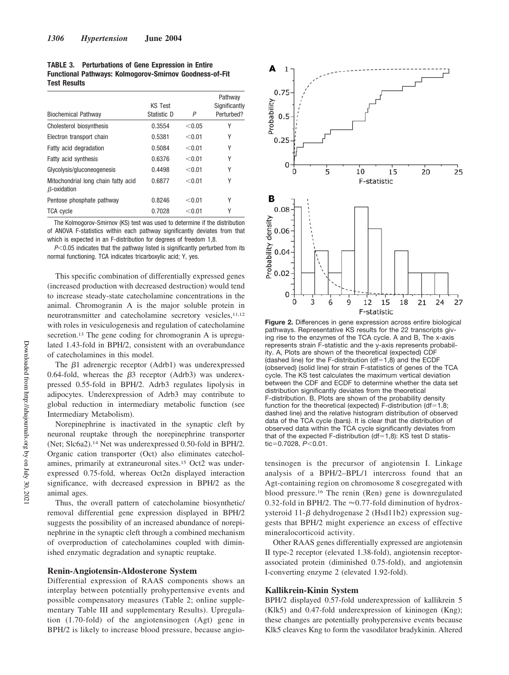**TABLE 3. Perturbations of Gene Expression in Entire Functional Pathways: Kolmogorov-Smirnov Goodness-of-Fit Test Results**

| <b>Biochemical Pathway</b>                                | <b>KS Test</b><br>Statistic D | P      | Pathway<br>Significantly<br>Perturbed? |
|-----------------------------------------------------------|-------------------------------|--------|----------------------------------------|
| Cholesterol biosynthesis                                  | 0.3554                        | < 0.05 | γ                                      |
| Electron transport chain                                  | 0.5381                        | < 0.01 | Υ                                      |
| Fatty acid degradation                                    | 0.5084                        | < 0.01 | Υ                                      |
| Fatty acid synthesis                                      | 0.6376                        | < 0.01 | γ                                      |
| Glycolysis/gluconeogenesis                                | 0.4498                        | < 0.01 | γ                                      |
| Mitochondrial long chain fatty acid<br>$\beta$ -oxidation | 0.6877                        | < 0.01 | Υ                                      |
| Pentose phosphate pathway                                 | 0.8246                        | < 0.01 | Υ                                      |
| <b>TCA cycle</b>                                          | 0.7028                        | < 0.01 | Υ                                      |

The Kolmogorov-Smirnov (KS) test was used to determine if the distribution of ANOVA F-statistics within each pathway significantly deviates from that which is expected in an F-distribution for degrees of freedom 1,8.

 $P<0.05$  indicates that the pathway listed is significantly perturbed from its normal functioning. TCA indicates tricarboxylic acid; Y, yes.

This specific combination of differentially expressed genes (increased production with decreased destruction) would tend to increase steady-state catecholamine concentrations in the animal. Chromogranin A is the major soluble protein in neurotransmitter and catecholamine secretory vesicles,<sup>11,12</sup> with roles in vesiculogenesis and regulation of catecholamine secretion.<sup>13</sup> The gene coding for chromogranin A is upregulated 1.43-fold in BPH/2, consistent with an overabundance of catecholamines in this model.

The  $\beta$ 1 adrenergic receptor (Adrb1) was underexpressed 0.64-fold, whereas the  $\beta$ 3 receptor (Adrb3) was underexpressed 0.55-fold in BPH/2. Adrb3 regulates lipolysis in adipocytes. Underexpression of Adrb3 may contribute to global reduction in intermediary metabolic function (see Intermediary Metabolism).

Norepinephrine is inactivated in the synaptic cleft by neuronal reuptake through the norepinephrine transporter (Net; Slc6a2).<sup>14</sup> Net was underexpressed 0.50-fold in BPH/2. Organic cation transporter (Oct) also eliminates catecholamines, primarily at extraneuronal sites.<sup>15</sup> Oct2 was underexpressed 0.75-fold, whereas Oct2n displayed interaction significance, with decreased expression in BPH/2 as the animal ages.

Thus, the overall pattern of catecholamine biosynthetic/ removal differential gene expression displayed in BPH/2 suggests the possibility of an increased abundance of norepinephrine in the synaptic cleft through a combined mechanism of overproduction of catecholamines coupled with diminished enzymatic degradation and synaptic reuptake.

### **Renin-Angiotensin-Aldosterone System**

Differential expression of RAAS components shows an interplay between potentially prohypertensive events and possible compensatory measures (Table 2; online supplementary Table III and supplementary Results). Upregulation (1.70-fold) of the angiotensinogen (Agt) gene in BPH/2 is likely to increase blood pressure, because angio-



**Figure 2.** Differences in gene expression across entire biological pathways. Representative KS results for the 22 transcripts giving rise to the enzymes of the TCA cycle. A and B, The x-axis represents strain F-statistic and the y-axis represents probability. A, Plots are shown of the theoretical (expected) CDF  $(dashed line)$  for the F-distribution  $(df=1,8)$  and the ECDF (observed) (solid line) for strain F-statistics of genes of the TCA cycle. The KS test calculates the maximum vertical deviation between the CDF and ECDF to determine whether the data set distribution significantly deviates from the theoretical F-distribution. B, Plots are shown of the probability density function for the theoretical (expected)  $F$ -distribution (df=1.8; dashed line) and the relative histogram distribution of observed data of the TCA cycle (bars). It is clear that the distribution of observed data within the TCA cycle significantly deviates from that of the expected F-distribution (df=1,8): KS test D statistic=0.7028, *P*<0.01.

tensinogen is the precursor of angiotensin I. Linkage analysis of a BPH/2–BPL/1 intercross found that an Agt-containing region on chromosome 8 cosegregated with blood pressure.<sup>16</sup> The renin (Ren) gene is downregulated 0.32-fold in BPH/2. The  $\approx$  0.77-fold diminution of hydroxysteroid  $11-\beta$  dehydrogenase 2 (Hsd11b2) expression suggests that BPH/2 might experience an excess of effective mineralocorticoid activity.

Other RAAS genes differentially expressed are angiotensin II type-2 receptor (elevated 1.38-fold), angiotensin receptorassociated protein (diminished 0.75-fold), and angiotensin I-converting enzyme 2 (elevated 1.92-fold).

#### **Kallikrein-Kinin System**

BPH/2 displayed 0.57-fold underexpression of kallikrein 5 (Klk5) and 0.47-fold underexpression of kininogen (Kng); these changes are potentially prohyperensive events because Klk5 cleaves Kng to form the vasodilator bradykinin. Altered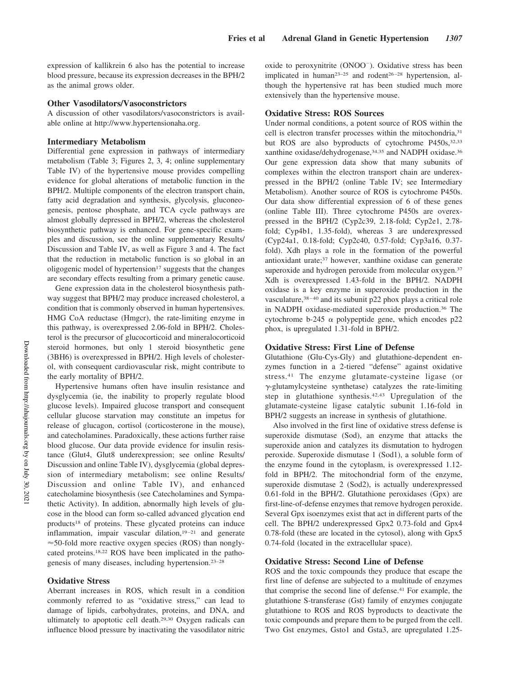expression of kallikrein 6 also has the potential to increase blood pressure, because its expression decreases in the BPH/2 as the animal grows older.

#### **Other Vasodilators/Vasoconstrictors**

A discussion of other vasodilators/vasoconstrictors is available online at http://www.hypertensionaha.org.

#### **Intermediary Metabolism**

Differential gene expression in pathways of intermediary metabolism (Table 3; Figures 2, 3, 4; online supplementary Table IV) of the hypertensive mouse provides compelling evidence for global alterations of metabolic function in the BPH/2. Multiple components of the electron transport chain, fatty acid degradation and synthesis, glycolysis, gluconeogenesis, pentose phosphate, and TCA cycle pathways are almost globally depressed in BPH/2, whereas the cholesterol biosynthetic pathway is enhanced. For gene-specific examples and discussion, see the online supplementary Results/ Discussion and Table IV, as well as Figure 3 and 4. The fact that the reduction in metabolic function is so global in an oligogenic model of hypertension $17$  suggests that the changes are secondary effects resulting from a primary genetic cause.

Gene expression data in the cholesterol biosynthesis pathway suggest that BPH/2 may produce increased cholesterol, a condition that is commonly observed in human hypertensives. HMG CoA reductase (Hmgcr), the rate-limiting enzyme in this pathway, is overexpressed 2.06-fold in BPH/2. Cholesterol is the precursor of glucocorticoid and mineralocorticoid steroid hormones, but only 1 steroid biosynthetic gene (3BH6) is overexpressed in BPH/2. High levels of cholesterol, with consequent cardiovascular risk, might contribute to the early mortality of BPH/2.

Hypertensive humans often have insulin resistance and dysglycemia (ie, the inability to properly regulate blood glucose levels). Impaired glucose transport and consequent cellular glucose starvation may constitute an impetus for release of glucagon, cortisol (corticosterone in the mouse), and catecholamines. Paradoxically, these actions further raise blood glucose. Our data provide evidence for insulin resistance (Glut4, Glut8 underexpression; see online Results/ Discussion and online Table IV), dysglycemia (global depression of intermediary metabolism; see online Results/ Discussion and online Table IV), and enhanced catecholamine biosynthesis (see Catecholamines and Sympathetic Activity). In addition, abnormally high levels of glucose in the blood can form so-called advanced glycation end products<sup>18</sup> of proteins. These glycated proteins can induce inflammation, impair vascular dilation, $19-21$  and generate  $\approx$  50-fold more reactive oxygen species (ROS) than nonglycated proteins.18,22 ROS have been implicated in the pathogenesis of many diseases, including hypertension.23–28

#### **Oxidative Stress**

Aberrant increases in ROS, which result in a condition commonly referred to as "oxidative stress," can lead to damage of lipids, carbohydrates, proteins, and DNA, and ultimately to apoptotic cell death.29,30 Oxygen radicals can influence blood pressure by inactivating the vasodilator nitric

oxide to peroxynitrite (ONOO ). Oxidative stress has been implicated in human<sup>23–25</sup> and rodent<sup>26–28</sup> hypertension, although the hypertensive rat has been studied much more extensively than the hypertensive mouse.

# **Oxidative Stress: ROS Sources**

Under normal conditions, a potent source of ROS within the cell is electron transfer processes within the mitochondria,<sup>31</sup> but ROS are also byproducts of cytochrome P450s, 32,33 xanthine oxidase/dehydrogenase,34,35 and NADPH oxidase.<sup>36</sup> Our gene expression data show that many subunits of complexes within the electron transport chain are underexpressed in the BPH/2 (online Table IV; see Intermediary Metabolism). Another source of ROS is cytochrome P450s. Our data show differential expression of 6 of these genes (online Table III). Three cytochrome P450s are overexpressed in the BPH/2 (Cyp2c39, 2.18-fold; Cyp2e1, 2.78 fold; Cyp4b1, 1.35-fold), whereas 3 are underexpressed (Cyp24a1, 0.18-fold; Cyp2c40, 0.57-fold; Cyp3a16, 0.37 fold). Xdh plays a role in the formation of the powerful antioxidant urate;<sup>37</sup> however, xanthine oxidase can generate superoxide and hydrogen peroxide from molecular oxygen.<sup>37</sup> Xdh is overexpressed 1.43-fold in the BPH/2. NADPH oxidase is a key enzyme in superoxide production in the vasculature,<sup>38-40</sup> and its subunit p22 phox plays a critical role in NADPH oxidase-mediated superoxide production.<sup>36</sup> The cytochrome b-245  $\alpha$  polypeptide gene, which encodes p22 phox, is upregulated 1.31-fold in BPH/2.

# **Oxidative Stress: First Line of Defense**

Glutathione (Glu-Cys-Gly) and glutathione-dependent enzymes function in a 2-tiered "defense" against oxidative stress.<sup>41</sup> The enzyme glutamate-cysteine ligase (or  $\gamma$ -glutamylcysteine synthetase) catalyzes the rate-limiting step in glutathione synthesis.42,43 Upregulation of the glutamate-cysteine ligase catalytic subunit 1.16-fold in BPH/2 suggests an increase in synthesis of glutathione.

Also involved in the first line of oxidative stress defense is superoxide dismutase (Sod), an enzyme that attacks the superoxide anion and catalyzes its dismutation to hydrogen peroxide. Superoxide dismutase 1 (Sod1), a soluble form of the enzyme found in the cytoplasm, is overexpressed 1.12 fold in BPH/2. The mitochondrial form of the enzyme, superoxide dismutase 2 (Sod2), is actually underexpressed 0.61-fold in the BPH/2. Glutathione peroxidases (Gpx) are first-line-of-defense enzymes that remove hydrogen peroxide. Several Gpx isoenzymes exist that act in different parts of the cell. The BPH/2 underexpressed Gpx2 0.73-fold and Gpx4 0.78-fold (these are located in the cytosol), along with Gpx5 0.74-fold (located in the extracellular space).

#### **Oxidative Stress: Second Line of Defense**

ROS and the toxic compounds they produce that escape the first line of defense are subjected to a multitude of enzymes that comprise the second line of defense.<sup>41</sup> For example, the glutathione S-transferase (Gst) family of enzymes conjugate glutathione to ROS and ROS byproducts to deactivate the toxic compounds and prepare them to be purged from the cell. Two Gst enzymes, Gsto1 and Gsta3, are upregulated 1.25-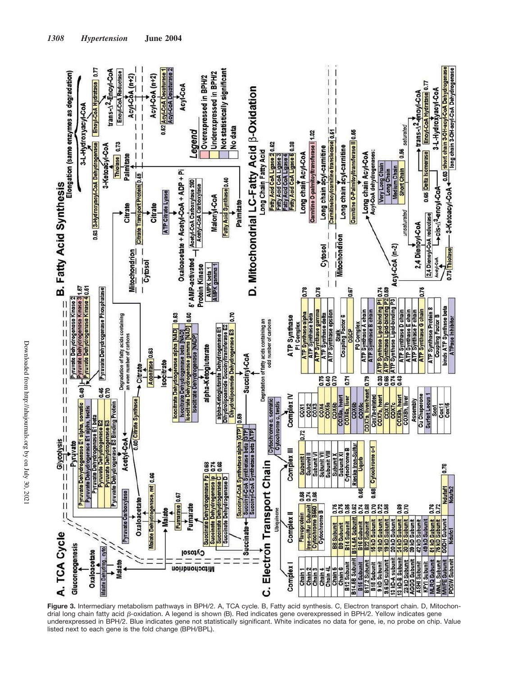

**Figure 3.** Intermediary metabolism pathways in BPH/2. A, TCA cycle. B, Fatty acid synthesis. C, Electron transport chain. D, Mitochondrial long chain fatty acid β-oxidation. A legend is shown (B). Red indicates gene overexpressed in BPH/2. Yellow indicates gene underexpressed in BPH/2. Blue indicates gene not statistically significant. White indicates no data for gene, ie, no probe on chip. Value listed next to each gene is the fold change (BPH/BPL).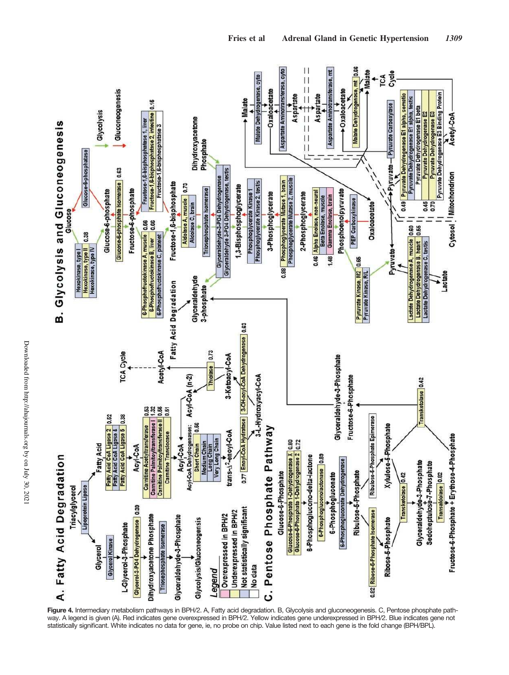

**Figure 4.** Intermediary metabolism pathways in BPH/2. A, Fatty acid degradation. B, Glycolysis and gluconeogenesis. C, Pentose phosphate pathway. A legend is given (A). Red indicates gene overexpressed in BPH/2. Yellow indicates gene underexpressed in BPH/2. Blue indicates gene not statistically significant. White indicates no data for gene, ie, no probe on chip. Value listed next to each gene is the fold change (BPH/BPL).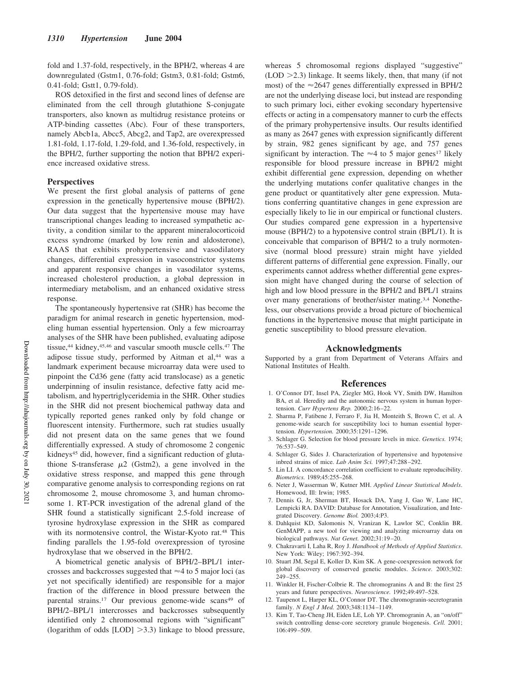fold and 1.37-fold, respectively, in the BPH/2, whereas 4 are downregulated (Gstm1, 0.76-fold; Gstm3, 0.81-fold; Gstm6, 0.41-fold; Gstt1, 0.79-fold).

ROS detoxified in the first and second lines of defense are eliminated from the cell through glutathione S-conjugate transporters, also known as multidrug resistance proteins or ATP-binding cassettes (Abc). Four of these transporters, namely Abcb1a, Abcc5, Abcg2, and Tap2, are overexpressed 1.81-fold, 1.17-fold, 1.29-fold, and 1.36-fold, respectively, in the BPH/2, further supporting the notion that BPH/2 experience increased oxidative stress.

#### **Perspectives**

We present the first global analysis of patterns of gene expression in the genetically hypertensive mouse (BPH/2). Our data suggest that the hypertensive mouse may have transcriptional changes leading to increased sympathetic activity, a condition similar to the apparent mineralocorticoid excess syndrome (marked by low renin and aldosterone), RAAS that exhibits prohypertensive and vasodilatory changes, differential expression in vasoconstrictor systems and apparent responsive changes in vasodilator systems, increased cholesterol production, a global depression in intermediary metabolism, and an enhanced oxidative stress response.

The spontaneously hypertensive rat (SHR) has become the paradigm for animal research in genetic hypertension, modeling human essential hypertension. Only a few microarray analyses of the SHR have been published, evaluating adipose tissue,<sup>44</sup> kidney,<sup>45,46</sup> and vascular smooth muscle cells.<sup>47</sup> The adipose tissue study, performed by Aitman et al,<sup>44</sup> was a landmark experiment because microarray data were used to pinpoint the Cd36 gene (fatty acid translocase) as a genetic underpinning of insulin resistance, defective fatty acid metabolism, and hypertriglyceridemia in the SHR. Other studies in the SHR did not present biochemical pathway data and typically reported genes ranked only by fold change or fluorescent intensity. Furthermore, such rat studies usually did not present data on the same genes that we found differentially expressed. A study of chromosome 2 congenic kidneys<sup>45</sup> did, however, find a significant reduction of glutathione S-transferase  $\mu$ 2 (Gstm2), a gene involved in the oxidative stress response, and mapped this gene through comparative genome analysis to corresponding regions on rat chromosome 2, mouse chromosome 3, and human chromosome 1. RT-PCR investigation of the adrenal gland of the SHR found a statistically significant 2.5-fold increase of tyrosine hydroxylase expression in the SHR as compared with its normotensive control, the Wistar-Kyoto rat.<sup>48</sup> This finding parallels the 1.95-fold overexpression of tyrosine hydroxylase that we observed in the BPH/2.

A biometrical genetic analysis of BPH/2–BPL/1 intercrosses and backcrosses suggested that  $\approx$  4 to 5 major loci (as yet not specifically identified) are responsible for a major fraction of the difference in blood pressure between the parental strains.<sup>17</sup> Our previous genome-wide scans<sup>49</sup> of BPH/2–BPL/1 intercrosses and backcrosses subsequently identified only 2 chromosomal regions with "significant" (logarithm of odds  $[LOD] > 3.3$ ) linkage to blood pressure,

whereas 5 chromosomal regions displayed "suggestive"  $(LOD > 2.3)$  linkage. It seems likely, then, that many (if not most) of the  $\approx$ 2647 genes differentially expressed in BPH/2 are not the underlying disease loci, but instead are responding to such primary loci, either evoking secondary hypertensive effects or acting in a compensatory manner to curb the effects of the primary prohypertensive insults. Our results identified as many as 2647 genes with expression significantly different by strain, 982 genes significant by age, and 757 genes significant by interaction. The  $\approx$  4 to 5 major genes<sup>17</sup> likely responsible for blood pressure increase in BPH/2 might exhibit differential gene expression, depending on whether the underlying mutations confer qualitative changes in the gene product or quantitatively alter gene expression. Mutations conferring quantitative changes in gene expression are especially likely to lie in our empirical or functional clusters. Our studies compared gene expression in a hypertensive mouse (BPH/2) to a hypotensive control strain (BPL/1). It is conceivable that comparison of BPH/2 to a truly normotensive (normal blood pressure) strain might have yielded different patterns of differential gene expression. Finally, our experiments cannot address whether differential gene expression might have changed during the course of selection of high and low blood pressure in the BPH/2 and BPL/1 strains over many generations of brother/sister mating.3,4 Nonetheless, our observations provide a broad picture of biochemical functions in the hypertensive mouse that might participate in genetic susceptibility to blood pressure elevation.

#### **Acknowledgments**

Supported by a grant from Department of Veterans Affairs and National Institutes of Health.

#### **References**

- 1. O'Connor DT, Insel PA, Ziegler MG, Hook VY, Smith DW, Hamilton BA, et al. Heredity and the autonomic nervous system in human hypertension. *Curr Hypertens Rep.* 2000;2:16–22.
- 2. Sharma P, Fatibene J, Ferraro F, Jia H, Monteith S, Brown C, et al. A genome-wide search for susceptibility loci to human essential hypertension. *Hypertension.* 2000;35:1291–1296.
- 3. Schlager G. Selection for blood pressure levels in mice. *Genetics.* 1974; 76:537–549.
- 4. Schlager G, Sides J. Characterization of hypertensive and hypotensive inbred strains of mice. *Lab Anim Sci.* 1997;47:288–292.
- 5. Lin LI. A concordance correlation coefficient to evaluate reproducibility. *Biometrics.* 1989;45:255–268.
- 6. Neter J, Wasserman W, Kutner MH. *Applied Linear Statistical Models*. Homewood, Ill: Irwin; 1985.
- 7. Dennis G, Jr, Sherman BT, Hosack DA, Yang J, Gao W, Lane HC, Lempicki RA. DAVID: Database for Annotation, Visualization, and Integrated Discovery. *Genome Biol.* 2003;4:P3.
- 8. Dahlquist KD, Salomonis N, Vranizan K, Lawlor SC, Conklin BR. GenMAPP, a new tool for viewing and analyzing microarray data on biological pathways. *Nat Genet.* 2002;31:19–20.
- 9. Chakravarti I, Laha R, Roy J. *Handbook of Methods of Applied Statistics*. New York: Wiley; 1967:392–394.
- 10. Stuart JM, Segal E, Koller D, Kim SK. A gene-coexpression network for global discovery of conserved genetic modules. *Science.* 2003;302: 249–255.
- 11. Winkler H, Fischer-Colbrie R. The chromogranins A and B: the first 25 years and future perspectives. *Neuroscience.* 1992;49:497–528.
- 12. Taupenot L, Harper KL, O'Connor DT. The chromogranin-secretogranin family. *N Engl J Med.* 2003;348:1134–1149.
- 13. Kim T, Tao-Cheng JH, Eiden LE, Loh YP. Chromogranin A, an "on/off" switch controlling dense-core secretory granule biogenesis. *Cell.* 2001; 106:499–509.